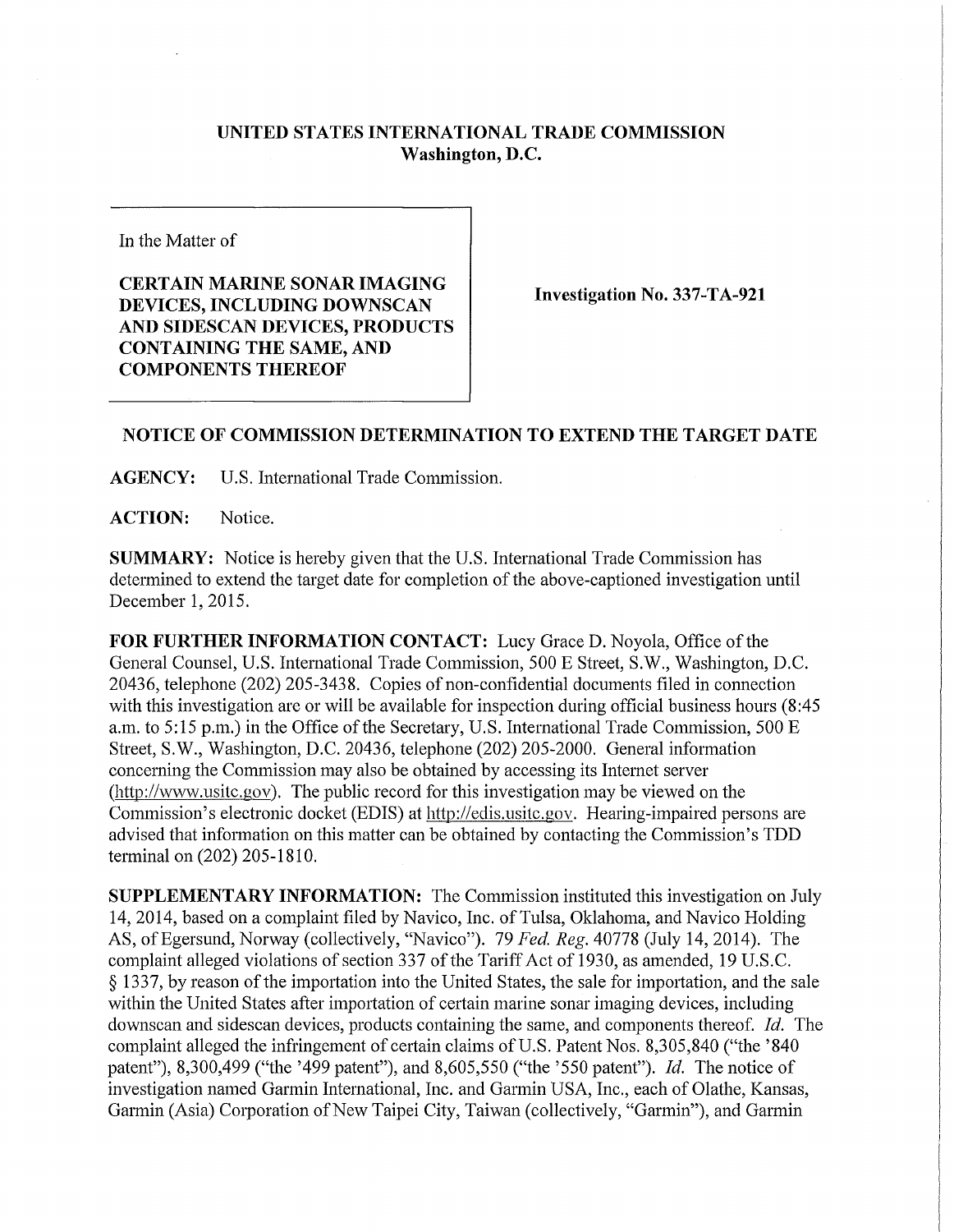## **UNITED STATES INTERNATIONAL TRADE COMMISSION Washington, D.C.**

In the Matter of

**CERTAIN MARINE SONAR IMAGING DEVICES, INCLUDING DOWNSCAN AND SIDESCAN DEVICES, PRODUCTS CONTAINING THE SAME, AND COMPONENTS THEREOF** 

**Investigation No. 337-TA-921** 

## **NOTICE OF COMMISSION DETERMINATION TO EXTEND THE TARGET DATE**

**AGENCY:** U.S. International Trade Commission.

**ACTION:** Notice.

**SUMMARY:** Notice is hereby given that the U.S. International Trade Commission has determined to extend the target date for completion of the above-captioned investigation until December 1, 2015.

**FOR FURTHER INFORMATION CONTACT:** Lucy Grace D. Noyola, Office of the General Counsel, U.S. Intemational Trade Commission, 500 E Street, S.W., Washington, D.C. 20436, telephone (202) 205-3438. Copies of non-confidential documents filed in connection with this investigation are or will be available for inspection during official business hours (8:45 a.m. to 5:15 p.m.) in the Office of the Secretary, U.S. International Trade Commission, 500 E Street, S.W., Washington, D.C. 20436, telephone (202) 205-2000. General information concerning the Commission may also be obtained by accessing its Internet server (http ://www.usitc. gov). The public record for this investigation may be viewed on the Commission's electronic docket (EDIS) at http://edis.usitc.gov. Hearing-impaired persons are advised that information on this matter can be obtained by contacting the Commission's TDD terminal on (202) 205-1810.

**SUPPLEMENTARY INFORMATION:** The Commission instituted this investigation on July 14, 2014, based on a complaint filed by Navico, Inc. of Tulsa, Oklahoma, and Navico Holding AS, of Egersund, Norway (collectively, "Navico"). 79 *Fed, Reg.* 40778 (July 14, 2014). The complaint alleged violations of section 337 of the Tariff Act of 1930, as amended, 19 U.S.C. § 1337, by reason of the importation into the United States, the sale for importation, and the sale within the United States after importation of certain marine sonar imaging devices, including downscan and sidescan devices, products containing the same, and components thereof. *Id.* The complaint alleged the infringement of certain claims of U.S. Patent Nos. 8,305,840 ("the '840 patent"), 8,300,499 ("the '499 patent"), and 8,605,550 ("the '550 patent"). *Id.* The notice of investigation named Garmin International, Inc. and Garmin USA, Inc., each of Olathe, Kansas, Garmin (Asia) Corporation of New Taipei City, Taiwan (collectively, "Garmin"), and Garmin